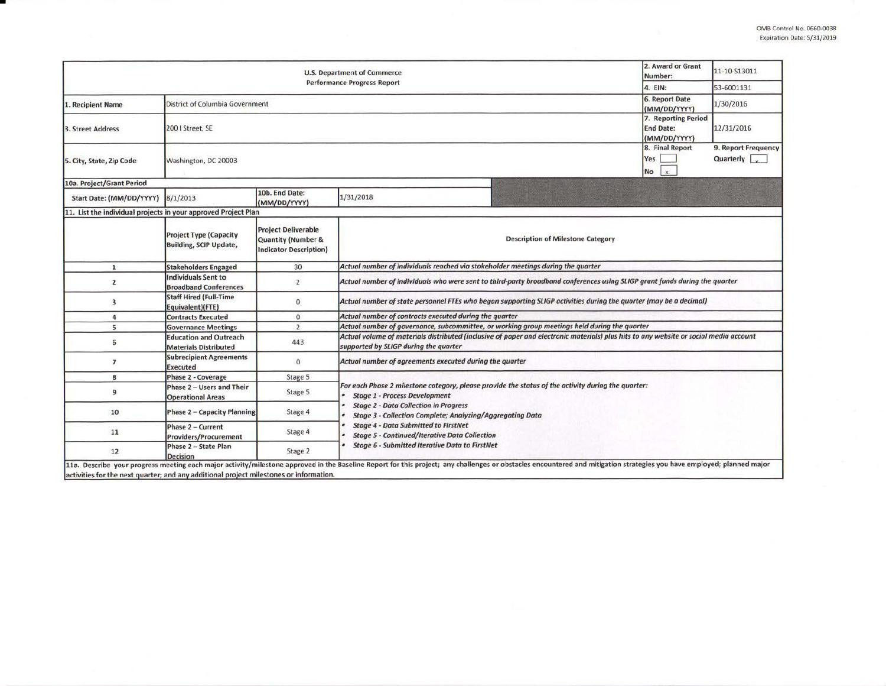| <b>U.S. Department of Commerce</b>                                                     |                                                                |                                                                                              |                                                                                                                                                                                                                                                         |  | 2. Award or Grant<br>Number:                | 11-10-513011                                |  |  |  |
|----------------------------------------------------------------------------------------|----------------------------------------------------------------|----------------------------------------------------------------------------------------------|---------------------------------------------------------------------------------------------------------------------------------------------------------------------------------------------------------------------------------------------------------|--|---------------------------------------------|---------------------------------------------|--|--|--|
| <b>Performance Progress Report</b>                                                     |                                                                |                                                                                              |                                                                                                                                                                                                                                                         |  |                                             | 53-6001131                                  |  |  |  |
| 1. Recipient Name                                                                      | <b>District of Columbia Government</b>                         |                                                                                              |                                                                                                                                                                                                                                                         |  |                                             | 1/30/2016                                   |  |  |  |
| 3. Street Address                                                                      | 200   Street, SE                                               |                                                                                              |                                                                                                                                                                                                                                                         |  |                                             | 12/31/2016                                  |  |  |  |
| 5. City, State, Zip Code                                                               | Washington, DC 20003                                           |                                                                                              |                                                                                                                                                                                                                                                         |  | 8. Final Report<br>Yes<br>$\mathbf x$<br>No | 9. Report Frequency<br>Quarterly $\sqrt{ }$ |  |  |  |
| 10a. Project/Grant Period                                                              |                                                                |                                                                                              |                                                                                                                                                                                                                                                         |  |                                             |                                             |  |  |  |
| Start Date: (MM/DD/YYYY)                                                               | 8/1/2013                                                       | 10b. End Date:<br>(MM/DD/YYYY)                                                               | 1/31/2018                                                                                                                                                                                                                                               |  |                                             |                                             |  |  |  |
| 11. List the individual projects in your approved Project Plan                         |                                                                |                                                                                              |                                                                                                                                                                                                                                                         |  |                                             |                                             |  |  |  |
|                                                                                        | <b>Project Type (Capacity</b><br><b>Building, SCIP Update,</b> | <b>Project Deliverable</b><br><b>Quantity (Number &amp;</b><br><b>Indicator Description)</b> | <b>Description of Milestone Category</b>                                                                                                                                                                                                                |  |                                             |                                             |  |  |  |
| $\mathbf{1}$                                                                           | <b>Stakeholders Engaged</b>                                    | 30                                                                                           | Actual number of individuals reached via stakeholder meetings during the quarter                                                                                                                                                                        |  |                                             |                                             |  |  |  |
| 2                                                                                      | <b>Individuals Sent to</b><br><b>Broadband Conferences</b>     | $\overline{2}$                                                                               | Actual number of individuals who were sent to third-party broadband conferences using SLIGP grant funds during the quarter                                                                                                                              |  |                                             |                                             |  |  |  |
| 3                                                                                      | <b>Staff Hired (Full-Time</b><br>Equivalent)(FTE)              | $\bf{0}$                                                                                     | Actual number of state personnel FTEs who began supporting SLIGP activities during the quarter (may be a decimal)                                                                                                                                       |  |                                             |                                             |  |  |  |
| 4                                                                                      | <b>Contracts Executed</b>                                      | $\bf{0}$                                                                                     | Actual number of contracts executed during the quarter                                                                                                                                                                                                  |  |                                             |                                             |  |  |  |
| 5                                                                                      | <b>Governance Meetings</b>                                     | $\overline{2}$                                                                               | Actual number of governance, subcommittee, or working group meetings held during the quarter                                                                                                                                                            |  |                                             |                                             |  |  |  |
| 6                                                                                      | <b>Education and Outreach</b><br><b>Materials Distributed</b>  | 443                                                                                          | Actual volume of materials distributed (inclusive of paper and electronic materials) plus hits to any website or social media account<br>supported by SLIGP during the quarter                                                                          |  |                                             |                                             |  |  |  |
| $\overline{7}$                                                                         | <b>Subrecipient Agreements</b><br><b>Executed</b>              | $\mathbf{0}$                                                                                 | Actual number of agreements executed during the quarter                                                                                                                                                                                                 |  |                                             |                                             |  |  |  |
| 8                                                                                      | <b>Phase 2 - Coverage</b>                                      | Stage 5                                                                                      |                                                                                                                                                                                                                                                         |  |                                             |                                             |  |  |  |
| 9                                                                                      | Phase 2 - Users and Their<br><b>Operational Areas</b>          | Stage 5                                                                                      | For each Phase 2 milestone category, please provide the status of the activity during the quarter:<br><b>Stage 1 - Process Development</b><br><b>Stage 2 - Data Collection in Progress</b><br>Stage 3 - Collection Complete; Analyzing/Aggregating Data |  |                                             |                                             |  |  |  |
| 10                                                                                     | <b>Phase 2 - Capacity Planning</b>                             | Stage 4                                                                                      |                                                                                                                                                                                                                                                         |  |                                             |                                             |  |  |  |
| 11                                                                                     | Phase 2 - Current<br><b>Providers/Procurement</b>              | Stage 4                                                                                      | <b>Stage 4 - Data Submitted to FirstNet</b><br><b>Stage 5 - Continued/Iterative Data Collection</b>                                                                                                                                                     |  |                                             |                                             |  |  |  |
| 12                                                                                     | Phase 2 - State Plan<br><b>Decision</b>                        | Stage 2                                                                                      | <b>Stage 6 - Submitted Iterative Data to FirstNet</b>                                                                                                                                                                                                   |  |                                             |                                             |  |  |  |
| activities for the next quarter; and any additional project milestones or information. |                                                                |                                                                                              | 11a. Describe your progress meeting each major activity/milestone approved in the Baseline Report for this project; any challenges or obstacles encountered and mitigation strategies you have employed; planned major                                  |  |                                             |                                             |  |  |  |

•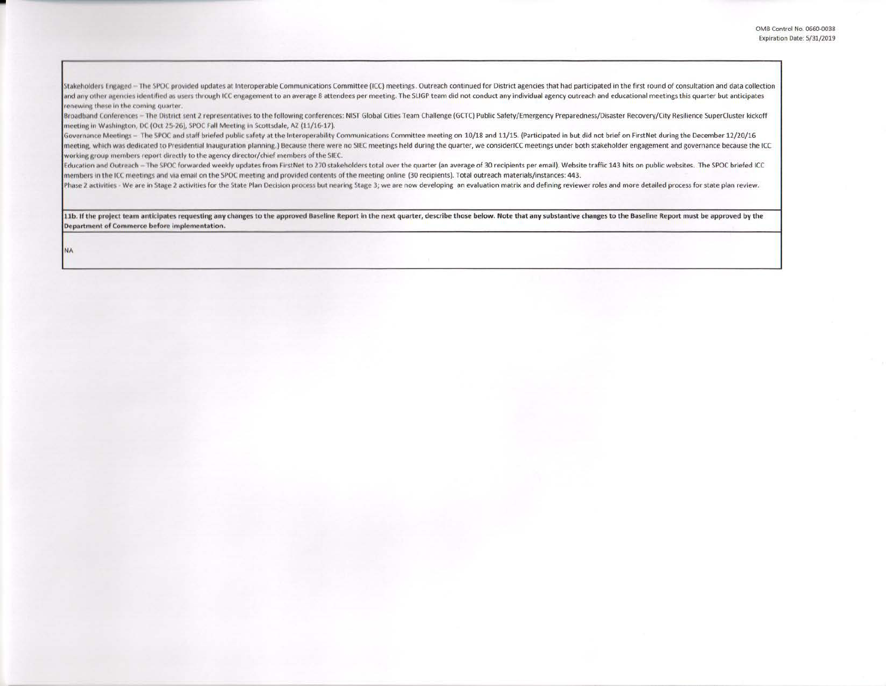Stakeholders Engaged - The SPOC provided updates at Interoperable Communications Committee (ICC) meetings. Outreach continued for District agencies that had participated in the first round of consultation and data collecti and any other agencies identified as users through ICC engagement to an average 8 attendees per meeting. The SLIGP team did not conduct any individual agency outreach and educational meetings this quarter but anticipates renewing these in the coming quarter.

Broadband Conferences - The District sent 2 representatives to the following conferences: NIST Global Cities Team Challenge (GCTC) Public Safety/Emergency Preparedness/Disaster Recovery/City Resilience SuperCluster kickoff meeting in Washington, DC (Oct 25-26), SPOC Fall Meeting in Scottsdale, AZ (11/16-17).

Governance Meetings - The SPOC and staff briefed public safety at the Interoperability Communications Committee meeting on 10/18 and 11/15. (Participated in but did not brief on FirstNet during the December 12/20/16 meeting, which was dedicated to Presidential Inauguration planning.) Because there were no SIEC meetings held during the quarter, we considerICC meetings under both stakeholder engagement and governance because the ICC working group members report directly to the agency director/chief members of the SIEC.

Education and Outreach - The SPOC forwarded weekly updates from FirstNet to 270 stakeholders total over the quarter (an average of 30 recipients per email). Website traffic 143 hits on public websites. The SPOC briefed ICC members in the ICC meetings and via email on the SPOC meeting and provided contents of the meeting online (30 recipients). Total outreach materials/instances: 443.

Phase 2 activities - We are in Stage 2 activities for the State Plan Decision process but nearing Stage 3; we are now developing an evaluation matrix and defining reviewer roles and more detailed process for state plan rev

11b. If the project team anticipates requesting any changes to the approved Baseline Report in the next quarter, describe those below. Note that any substantive changes to the Baseline Report must be approved by the Department of Commerce before implementation.

**NA**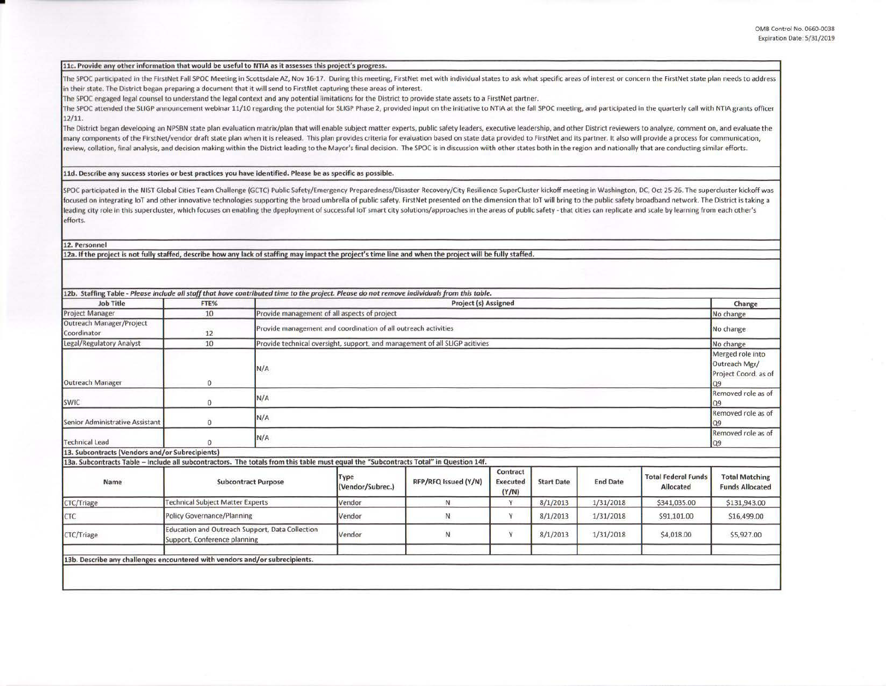## 11c. Provide anv other information that would be useful to NTIA as it assesses this project's progress.

The SPOC participated in the FirstNet Fall SPOC Meeting in Scottsdale AZ, Nov 16-17. During this meeting, FirstNet met with individual states to ask what specific areas of interest or concern the FirstNet state plan needs in their state. The District began preparing a document that it will send to FirstNet capturing these areas of interest.

The SPOC engaged legal counsel to understand the legal context and any potential limitations for the District to provide state assets to a FirstNet partner.

The SPOC attended the SLIGP announcement webinar 11/10 regarding the potential for SLIGP Phase 2, provided input on the initiative to NTIA at the fall SPOC meeting, and participated in the quarterly call with NTIA grants o 12/11.

The District began developing an NPSBN state plan evaluation matrix/plan that will enable subject matter experts, public safety leaders, executive leadership, and other District reviewers to analyze, comment on, and evalua many components of the FirstNet/vendor draft state plan when it is released. This plan provides criteria for evaluation based on state data provided to FirstNet and its partner. It also will provide a process for communica review, collation, final analysis, and decision making within the District leading to the Mayor's final decision. The SPOC is in discussion wiith other states both in the region and nationally that are conducting similar e

lld. Describe any success stories or best practices you have identified. Please be as specific as possible.

SPOC participated in the NIST Global Cities Team Challenge (GCTC) Public Safety/Emergency Preparedness/Disaster Recovery/City Resilience SuperCluster kickoff meeting in Washington, DC, Oct 25-26. The supercluster kickoff was focused on integrating IoT and other innovative technologies supporting the broad umbrella of public safety. FirstNet presented on the dimension that IoT will bring to the public safety broadband network. The District is t leading city role in this supercluster, which focuses on enabling the dpeployment of successful IoT smart city solutions/approaches in the areas of public safety - that cities can replicate and scale by learning from each efforts.

## 12. Personnel

•

12a. If the project is not fully staffed, describe how any lack of staffing may impact the project's time line and when the project will be fully staffed.

| <b>Project Manager</b>                                                                                                                | 10                                                                              |                                                                             |                                              |                      |                                      |                   |                 |                                                                 | Change                                          |
|---------------------------------------------------------------------------------------------------------------------------------------|---------------------------------------------------------------------------------|-----------------------------------------------------------------------------|----------------------------------------------|----------------------|--------------------------------------|-------------------|-----------------|-----------------------------------------------------------------|-------------------------------------------------|
| Outreach Manager/Project<br><b>Coordinator</b>                                                                                        |                                                                                 |                                                                             | Provide management of all aspects of project |                      |                                      |                   |                 | No change                                                       |                                                 |
| Legal/Regulatory Analyst                                                                                                              | 12                                                                              | Provide management and coordination of all outreach activities              |                                              |                      |                                      |                   |                 | No change                                                       |                                                 |
|                                                                                                                                       | 10                                                                              | Provide technical oversight, support, and management of all SLIGP acitivies |                                              |                      |                                      |                   |                 |                                                                 | No change                                       |
| Outreach Manager                                                                                                                      | $\mathbf{0}$                                                                    | N/A                                                                         |                                              |                      |                                      |                   |                 | Merged role into<br>Outreach Mgr/<br>Project Coord. as of<br>09 |                                                 |
| SWIC                                                                                                                                  | $\mathbf{0}$                                                                    | N/A                                                                         |                                              |                      |                                      |                   |                 |                                                                 | Removed role as of<br>09                        |
| Senior Administrative Assistant                                                                                                       | $\mathbf{0}$                                                                    | N/A                                                                         |                                              |                      |                                      |                   |                 | Removed role as of<br>Q <sub>9</sub>                            |                                                 |
| <b>Technical Lead</b>                                                                                                                 | $\Omega$                                                                        | N/A                                                                         |                                              |                      |                                      |                   |                 | Removed role as of<br>Q9                                        |                                                 |
| 13. Subcontracts (Vendors and/or Subrecipients)                                                                                       |                                                                                 |                                                                             |                                              |                      |                                      |                   |                 |                                                                 |                                                 |
| 13a. Subcontracts Table - Include all subcontractors. The totals from this table must equal the "Subcontracts Total" in Question 14f. |                                                                                 |                                                                             |                                              |                      |                                      |                   |                 |                                                                 |                                                 |
| Name                                                                                                                                  | <b>Subcontract Purpose</b>                                                      |                                                                             | Type<br>(Vendor/Subrec.)                     | RFP/RFQ Issued (Y/N) | Contract<br><b>Executed</b><br>(Y/N) | <b>Start Date</b> | <b>End Date</b> | <b>Total Federal Funds</b><br><b>Allocated</b>                  | <b>Total Matching</b><br><b>Funds Allocated</b> |
| CTC/Triage                                                                                                                            | <b>Technical Subject Matter Experts</b>                                         |                                                                             | Vendor                                       | N                    | Y.                                   | 8/1/2013          | 1/31/2018       | \$341,035.00                                                    | \$131,943.00                                    |
| CTC                                                                                                                                   | Policy Governance/Planning                                                      |                                                                             | Vendor                                       | N                    | Y                                    | 8/1/2013          | 1/31/2018       | \$91,101.00                                                     | \$16,499.00                                     |
| CTC/Triage                                                                                                                            | Education and Outreach Support, Data Collection<br>Support, Conference planning |                                                                             | Vendor                                       | N                    | Y                                    | 8/1/2013          | 1/31/2018       | \$4,018.00                                                      | \$5,927.00                                      |
|                                                                                                                                       |                                                                                 |                                                                             |                                              |                      |                                      |                   |                 |                                                                 |                                                 |
| 13b. Describe any challenges encountered with vendors and/or subrecipients.                                                           |                                                                                 |                                                                             |                                              |                      |                                      |                   |                 |                                                                 |                                                 |